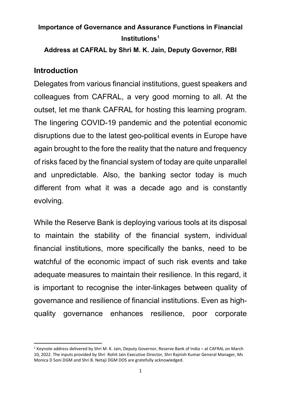# **Importance of Governance and Assurance Functions in Financial Institutions[1](#page-0-0)**

**Address at CAFRAL by Shri M. K. Jain, Deputy Governor, RBI** 

## **Introduction**

Delegates from various financial institutions, guest speakers and colleagues from CAFRAL, a very good morning to all. At the outset, let me thank CAFRAL for hosting this learning program. The lingering COVID-19 pandemic and the potential economic disruptions due to the latest geo-political events in Europe have again brought to the fore the reality that the nature and frequency of risks faced by the financial system of today are quite unparallel and unpredictable. Also, the banking sector today is much different from what it was a decade ago and is constantly evolving.

While the Reserve Bank is deploying various tools at its disposal to maintain the stability of the financial system, individual financial institutions, more specifically the banks, need to be watchful of the economic impact of such risk events and take adequate measures to maintain their resilience. In this regard, it is important to recognise the inter-linkages between quality of governance and resilience of financial institutions. Even as highquality governance enhances resilience, poor corporate

<span id="page-0-0"></span> $1$  Keynote address delivered by Shri M. K. Jain, Deputy Governor, Reserve Bank of India – at CAFRAL on March 10, 2022. The inputs provided by Shri Rohit Jain Executive Director, Shri Rajnish Kumar General Manager, Ms Monica D Soni DGM and Shri B. Netaji DGM DOS are gratefully acknowledged.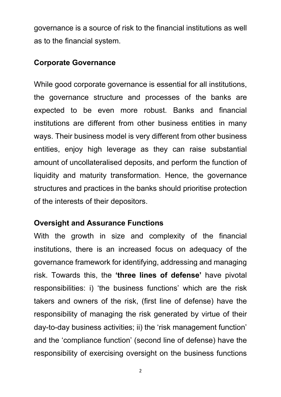governance is a source of risk to the financial institutions as well as to the financial system.

#### **Corporate Governance**

While good corporate governance is essential for all institutions, the governance structure and processes of the banks are expected to be even more robust. Banks and financial institutions are different from other business entities in many ways. Their business model is very different from other business entities, enjoy high leverage as they can raise substantial amount of uncollateralised deposits, and perform the function of liquidity and maturity transformation. Hence, the governance structures and practices in the banks should prioritise protection of the interests of their depositors.

## **Oversight and Assurance Functions**

With the growth in size and complexity of the financial institutions, there is an increased focus on adequacy of the governance framework for identifying, addressing and managing risk. Towards this, the **'three lines of defense'** have pivotal responsibilities: i) 'the business functions' which are the risk takers and owners of the risk, (first line of defense) have the responsibility of managing the risk generated by virtue of their day-to-day business activities; ii) the 'risk management function' and the 'compliance function' (second line of defense) have the responsibility of exercising oversight on the business functions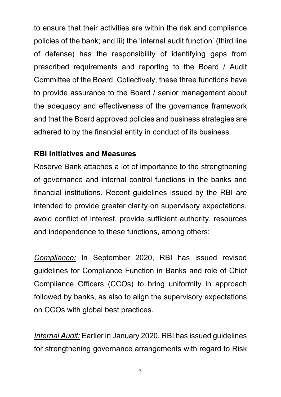to ensure that their activities are within the risk and compliance policies of the bank; and iii) the 'internal audit function' (third line of defense) has the responsibility of identifying gaps from prescribed requirements and reporting to the Board / Audit Committee of the Board. Collectively, these three functions have to provide assurance to the Board / senior management about the adequacy and effectiveness of the governance framework and that the Board approved policies and business strategies are adhered to by the financial entity in conduct of its business.

## **RBI Initiatives and Measures**

Reserve Bank attaches a lot of importance to the strengthening of governance and internal control functions in the banks and financial institutions. Recent guidelines issued by the RBI are intended to provide greater clarity on supervisory expectations, avoid conflict of interest, provide sufficient authority, resources and independence to these functions, among others:

*Compliance:* In September 2020, RBI has issued revised guidelines for Compliance Function in Banks and role of Chief Compliance Officers (CCOs) to bring uniformity in approach followed by banks, as also to align the supervisory expectations on CCOs with global best practices.

*Internal Audit:* Earlier in January 2020, RBI has issued guidelines for strengthening governance arrangements with regard to Risk

<sup>3</sup>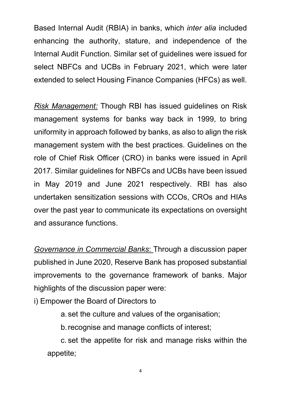Based Internal Audit (RBIA) in banks, which *inter alia* included enhancing the authority, stature, and independence of the Internal Audit Function. Similar set of guidelines were issued for select NBFCs and UCBs in February 2021, which were later extended to select Housing Finance Companies (HFCs) as well.

*Risk Management:* Though RBI has issued guidelines on Risk management systems for banks way back in 1999, to bring uniformity in approach followed by banks, as also to align the risk management system with the best practices. Guidelines on the role of Chief Risk Officer (CRO) in banks were issued in April 2017. Similar guidelines for NBFCs and UCBs have been issued in May 2019 and June 2021 respectively. RBI has also undertaken sensitization sessions with CCOs, CROs and HIAs over the past year to communicate its expectations on oversight and assurance functions.

*Governance in Commercial Banks*: Through a discussion paper published in June 2020, Reserve Bank has proposed substantial improvements to the governance framework of banks. Major highlights of the discussion paper were:

i) Empower the Board of Directors to

a.set the culture and values of the organisation;

b.recognise and manage conflicts of interest;

c. set the appetite for risk and manage risks within the appetite;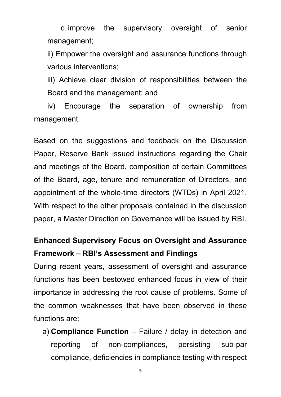d.improve the supervisory oversight of senior management;

ii) Empower the oversight and assurance functions through various interventions;

iii) Achieve clear division of responsibilities between the Board and the management; and

iv) Encourage the separation of ownership from management.

Based on the suggestions and feedback on the Discussion Paper, Reserve Bank issued instructions regarding the Chair and meetings of the Board, composition of certain Committees of the Board, age, tenure and remuneration of Directors, and appointment of the whole-time directors (WTDs) in April 2021. With respect to the other proposals contained in the discussion paper, a Master Direction on Governance will be issued by RBI.

# **Enhanced Supervisory Focus on Oversight and Assurance Framework – RBI's Assessment and Findings**

During recent years, assessment of oversight and assurance functions has been bestowed enhanced focus in view of their importance in addressing the root cause of problems. Some of the common weaknesses that have been observed in these functions are:

a) **Compliance Function** – Failure / delay in detection and reporting of non-compliances, persisting sub-par compliance, deficiencies in compliance testing with respect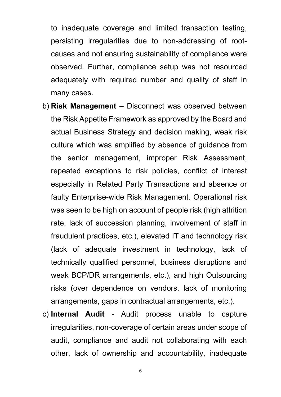to inadequate coverage and limited transaction testing, persisting irregularities due to non-addressing of rootcauses and not ensuring sustainability of compliance were observed. Further, compliance setup was not resourced adequately with required number and quality of staff in many cases.

- b) **Risk Management** Disconnect was observed between the Risk Appetite Framework as approved by the Board and actual Business Strategy and decision making, weak risk culture which was amplified by absence of guidance from the senior management, improper Risk Assessment, repeated exceptions to risk policies, conflict of interest especially in Related Party Transactions and absence or faulty Enterprise-wide Risk Management. Operational risk was seen to be high on account of people risk (high attrition rate, lack of succession planning, involvement of staff in fraudulent practices, etc.), elevated IT and technology risk (lack of adequate investment in technology, lack of technically qualified personnel, business disruptions and weak BCP/DR arrangements, etc.), and high Outsourcing risks (over dependence on vendors, lack of monitoring arrangements, gaps in contractual arrangements, etc.).
- c) **Internal Audit** Audit process unable to capture irregularities, non-coverage of certain areas under scope of audit, compliance and audit not collaborating with each other, lack of ownership and accountability, inadequate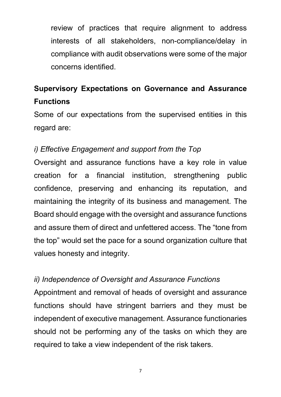review of practices that require alignment to address interests of all stakeholders, non-compliance/delay in compliance with audit observations were some of the major concerns identified.

# **Supervisory Expectations on Governance and Assurance Functions**

Some of our expectations from the supervised entities in this regard are:

## *i) Effective Engagement and support from the Top*

Oversight and assurance functions have a key role in value creation for a financial institution, strengthening public confidence, preserving and enhancing its reputation, and maintaining the integrity of its business and management. The Board should engage with the oversight and assurance functions and assure them of direct and unfettered access. The "tone from the top" would set the pace for a sound organization culture that values honesty and integrity.

## *ii) Independence of Oversight and Assurance Functions*

Appointment and removal of heads of oversight and assurance functions should have stringent barriers and they must be independent of executive management. Assurance functionaries should not be performing any of the tasks on which they are required to take a view independent of the risk takers.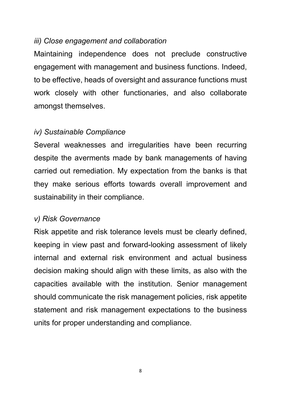#### *iii) Close engagement and collaboration*

Maintaining independence does not preclude constructive engagement with management and business functions. Indeed, to be effective, heads of oversight and assurance functions must work closely with other functionaries, and also collaborate amongst themselves.

## *iv) Sustainable Compliance*

Several weaknesses and irregularities have been recurring despite the averments made by bank managements of having carried out remediation. My expectation from the banks is that they make serious efforts towards overall improvement and sustainability in their compliance.

## *v) Risk Governance*

Risk appetite and risk tolerance levels must be clearly defined, keeping in view past and forward-looking assessment of likely internal and external risk environment and actual business decision making should align with these limits, as also with the capacities available with the institution. Senior management should communicate the risk management policies, risk appetite statement and risk management expectations to the business units for proper understanding and compliance.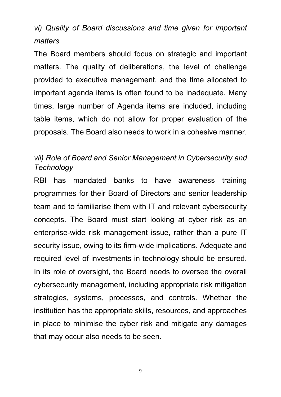# *vi) Quality of Board discussions and time given for important matters*

The Board members should focus on strategic and important matters. The quality of deliberations, the level of challenge provided to executive management, and the time allocated to important agenda items is often found to be inadequate. Many times, large number of Agenda items are included, including table items, which do not allow for proper evaluation of the proposals. The Board also needs to work in a cohesive manner.

## *vii) Role of Board and Senior Management in Cybersecurity and Technology*

RBI has mandated banks to have awareness training programmes for their Board of Directors and senior leadership team and to familiarise them with IT and relevant cybersecurity concepts. The Board must start looking at cyber risk as an enterprise-wide risk management issue, rather than a pure IT security issue, owing to its firm-wide implications. Adequate and required level of investments in technology should be ensured. In its role of oversight, the Board needs to oversee the overall cybersecurity management, including appropriate risk mitigation strategies, systems, processes, and controls. Whether the institution has the appropriate skills, resources, and approaches in place to minimise the cyber risk and mitigate any damages that may occur also needs to be seen.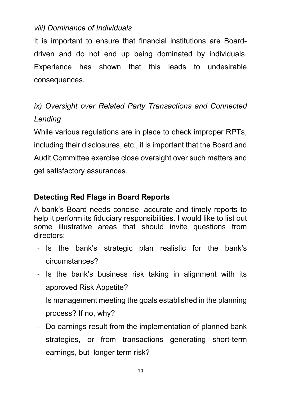## *viii) Dominance of Individuals*

It is important to ensure that financial institutions are Boarddriven and do not end up being dominated by individuals. Experience has shown that this leads to undesirable consequences.

# *ix) Oversight over Related Party Transactions and Connected Lending*

While various regulations are in place to check improper RPTs, including their disclosures, etc., it is important that the Board and Audit Committee exercise close oversight over such matters and get satisfactory assurances.

# **Detecting Red Flags in Board Reports**

A bank's Board needs concise, accurate and timely reports to help it perform its fiduciary responsibilities. I would like to list out some illustrative areas that should invite questions from directors:

- Is the bank's strategic plan realistic for the bank's circumstances?
- Is the bank's business risk taking in alignment with its approved Risk Appetite?
- Is management meeting the goals established in the planning process? If no, why?
- Do earnings result from the implementation of planned bank strategies, or from transactions generating short-term earnings, but longer term risk?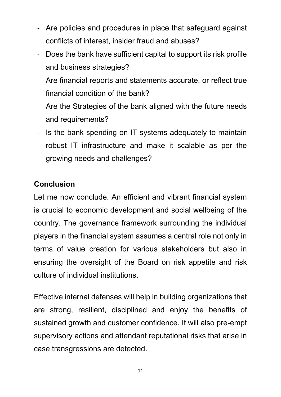- Are policies and procedures in place that safeguard against conflicts of interest, insider fraud and abuses?
- Does the bank have sufficient capital to support its risk profile and business strategies?
- Are financial reports and statements accurate, or reflect true financial condition of the bank?
- Are the Strategies of the bank aligned with the future needs and requirements?
- Is the bank spending on IT systems adequately to maintain robust IT infrastructure and make it scalable as per the growing needs and challenges?

# **Conclusion**

Let me now conclude. An efficient and vibrant financial system is crucial to economic development and social wellbeing of the country. The governance framework surrounding the individual players in the financial system assumes a central role not only in terms of value creation for various stakeholders but also in ensuring the oversight of the Board on risk appetite and risk culture of individual institutions.

Effective internal defenses will help in building organizations that are strong, resilient, disciplined and enjoy the benefits of sustained growth and customer confidence. It will also pre-empt supervisory actions and attendant reputational risks that arise in case transgressions are detected.